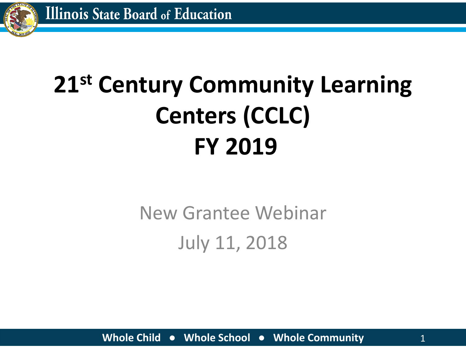

# **21st Century Community Learning Centers (CCLC) FY 2019**

New Grantee Webinar July 11, 2018

**Whole Child ● Whole School ● Whole Community** 1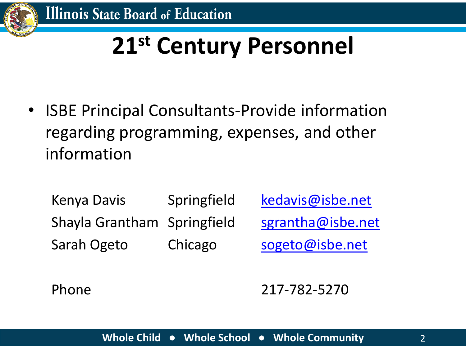

## **21st Century Personnel**

• ISBE Principal Consultants-Provide information regarding programming, expenses, and other information

Kenya Davis Springfield [kedavis@isbe.net](mailto:kedavis@isbe.net) Shayla Grantham Springfield [sgrantha@isbe.net](mailto:sgrantha@isbe.net) Sarah Ogeto Chicago [sogeto@isbe.net](mailto:sogeto@isbe.net)

Phone 217-782-5270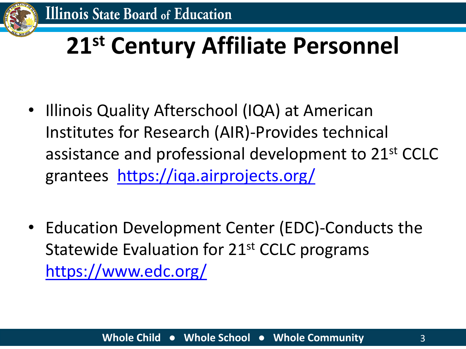

## **21st Century Affiliate Personnel**

- Illinois Quality Afterschool (IQA) at American Institutes for Research (AIR)-Provides technical assistance and professional development to 21<sup>st</sup> CCLC grantees <https://iqa.airprojects.org/>
- Education Development Center (EDC)-Conducts the Statewide Evaluation for 21<sup>st</sup> CCLC programs <https://www.edc.org/>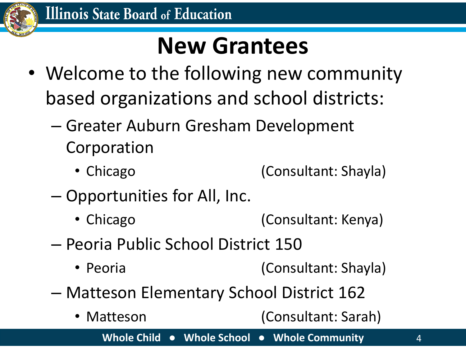

#### **New Grantees**

- Welcome to the following new community based organizations and school districts:
	- Greater Auburn Gresham Development Corporation
		- Chicago (Consultant: Shayla)
	- Opportunities for All, Inc.
		- Chicago (Consultant: Kenya)
	- Peoria Public School District 150
		- Peoria (Consultant: Shayla)
	- Matteson Elementary School District 162
		- Matteson (Consultant: Sarah)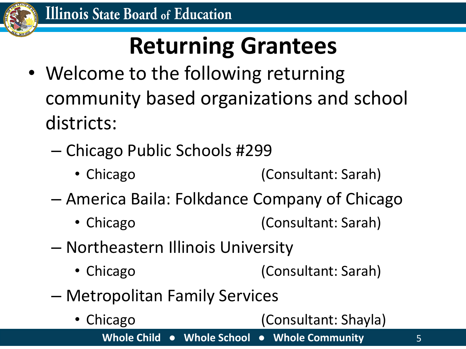

- Welcome to the following returning community based organizations and school districts:
	- Chicago Public Schools #299
		- Chicago (Consultant: Sarah)
	- America Baila: Folkdance Company of Chicago
		- Chicago (Consultant: Sarah)
	- Northeastern Illinois University
		- Chicago (Consultant: Sarah)
	- Metropolitan Family Services
		- Chicago (Consultant: Shayla)

**Whole Child ● Whole School ● Whole Community** 5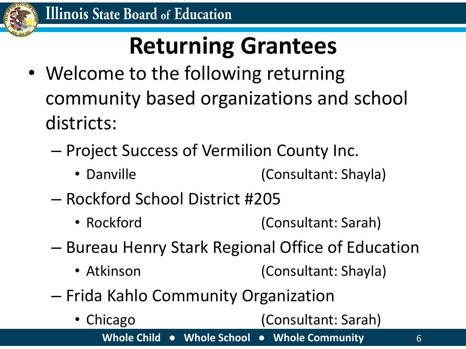

- Welcome to the following returning community based organizations and school districts:
	- Project Success of Vermilion County Inc.
		- Danville (Consultant: Shayla)
	- Rockford School District #205
		- Rockford (Consultant: Sarah)
	- Bureau Henry Stark Regional Office of Education
		- Atkinson (Consultant: Shayla)
	- Frida Kahlo Community Organization
		- Chicago (Consultant: Sarah)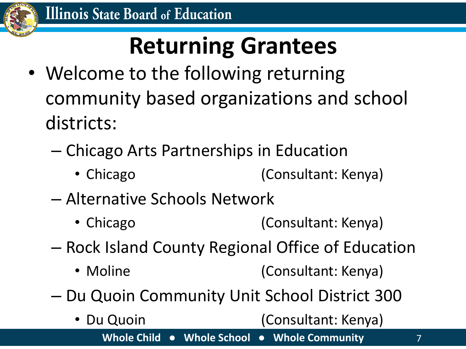

- Welcome to the following returning community based organizations and school districts:
	- Chicago Arts Partnerships in Education
		- Chicago (Consultant: Kenya)
	- Alternative Schools Network
		- Chicago (Consultant: Kenya)
	- Rock Island County Regional Office of Education
		- Moline (Consultant: Kenya)
	- Du Quoin Community Unit School District 300
		- **Whole Child ● Whole School ● Whole Community** 7 • Du Quoin (Consultant: Kenya)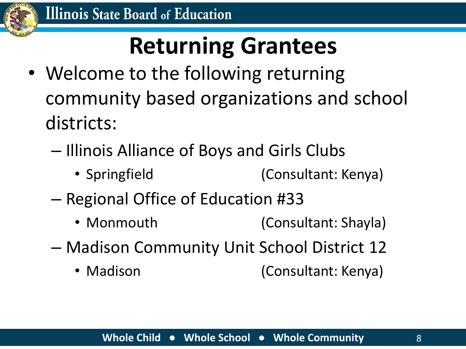

- Welcome to the following returning community based organizations and school districts:
	- Illinois Alliance of Boys and Girls Clubs
		- Springfield (Consultant: Kenya)
	- Regional Office of Education #33
		- Monmouth (Consultant: Shayla)
	- Madison Community Unit School District 12
		- Madison (Consultant: Kenya)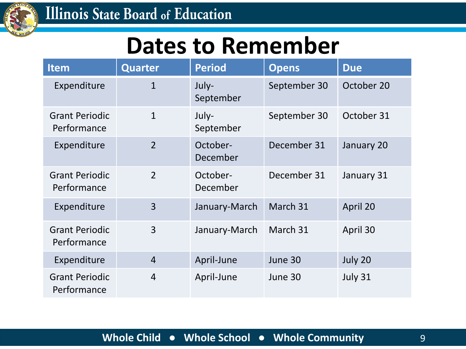

#### **Dates to Remember**

| <b>Item</b>                          | <b>Quarter</b> | <b>Period</b>        | <b>Opens</b> | <b>Due</b> |
|--------------------------------------|----------------|----------------------|--------------|------------|
| Expenditure                          | $\mathbf{1}$   | July-<br>September   | September 30 | October 20 |
| <b>Grant Periodic</b><br>Performance | $\mathbf{1}$   | July-<br>September   | September 30 | October 31 |
| Expenditure                          | $\overline{2}$ | October-<br>December | December 31  | January 20 |
| <b>Grant Periodic</b><br>Performance | $\overline{2}$ | October-<br>December | December 31  | January 31 |
| Expenditure                          | 3              | January-March        | March 31     | April 20   |
| <b>Grant Periodic</b><br>Performance | 3              | January-March        | March 31     | April 30   |
| Expenditure                          | $\overline{4}$ | April-June           | June 30      | July 20    |
| <b>Grant Periodic</b><br>Performance | $\overline{4}$ | April-June           | June 30      | July 31    |

#### **Whole Child ● Whole School ● Whole Community** 9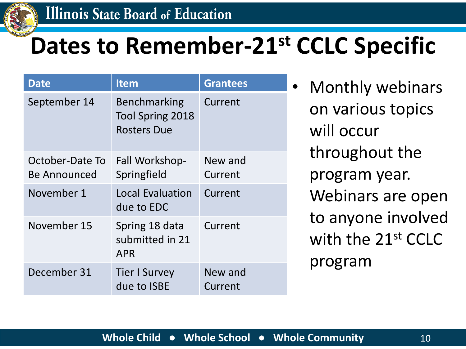

## **Dates to Remember-21st CCLC Specific**

| Date                            | <b>Item</b>                                                          | <b>Grantees</b>    |
|---------------------------------|----------------------------------------------------------------------|--------------------|
| September 14                    | <b>Benchmarking</b><br><b>Tool Spring 2018</b><br><b>Rosters Due</b> | Current            |
| October-Date To<br>Be Announced | Fall Workshop-<br>Springfield                                        | New and<br>Current |
| November 1                      | <b>Local Evaluation</b><br>due to EDC                                | Current            |
| November 15                     | Spring 18 data<br>submitted in 21<br><b>APR</b>                      | Current            |
| December 31                     | <b>Tier I Survey</b><br>due to ISBE                                  | New and<br>Current |

Monthly webinars on various topics will occur throughout the program year. Webinars are open to anyone involved with the 21<sup>st</sup> CCLC program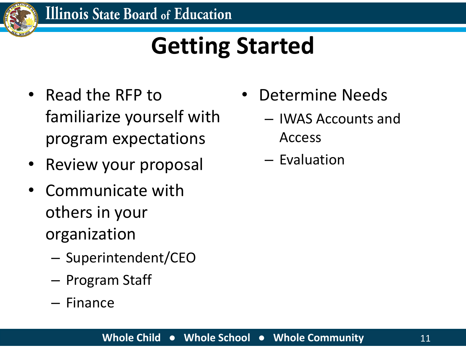

## **Getting Started**

- Read the RFP to familiarize yourself with program expectations
- Review your proposal
- Communicate with others in your organization
	- Superintendent/CEO
	- Program Staff
	- Finance
- Determine Needs
	- IWAS Accounts and Access
	- Evaluation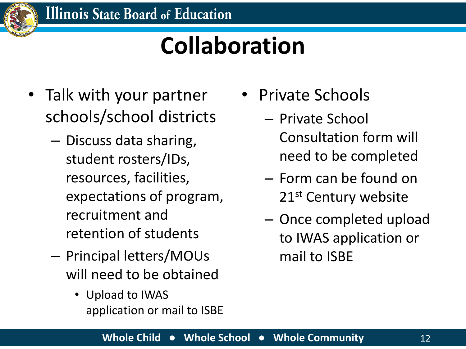

## **Collaboration**

- Talk with your partner schools/school districts
	- Discuss data sharing, student rosters/IDs, resources, facilities, expectations of program, recruitment and retention of students
	- Principal letters/MOUs will need to be obtained
		- Upload to IWAS application or mail to ISBE
- Private Schools
	- Private School Consultation form will need to be completed
	- Form can be found on 21<sup>st</sup> Century website
	- Once completed upload to IWAS application or mail to ISBE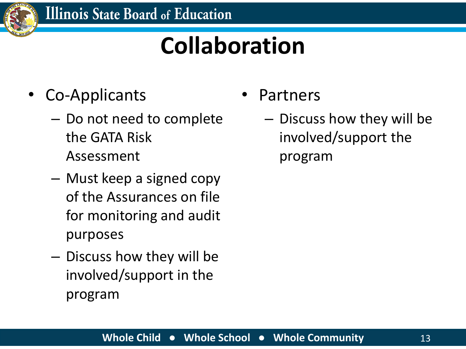

## **Collaboration**

- Co-Applicants
	- Do not need to complete the GATA Risk Assessment
	- Must keep a signed copy of the Assurances on file for monitoring and audit purposes
	- Discuss how they will be involved/support in the program
- **Partners** 
	- Discuss how they will be involved/support the program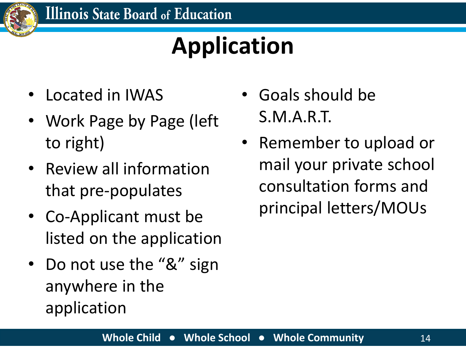

## **Application**

- Located in IWAS
- Work Page by Page (left to right)
- Review all information that pre-populates
- Co-Applicant must be listed on the application
- Do not use the "&" sign anywhere in the application
- Goals should be S.M.A.R.T.
- Remember to upload or mail your private school consultation forms and principal letters/MOUs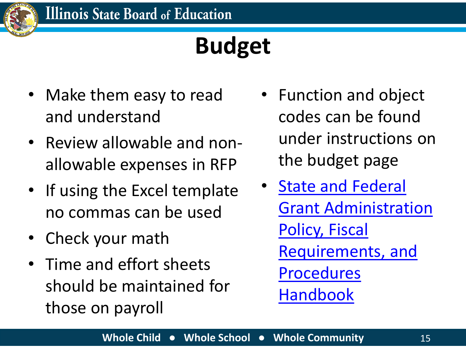

- Make them easy to read and understand
- Review allowable and nonallowable expenses in RFP
- If using the Excel template no commas can be used
- Check your math
- Time and effort sheets should be maintained for those on payroll
- Function and object codes can be found under instructions on the budget page
- **State and Federal** [Grant Administration](https://www.isbe.net/Documents/fiscal_procedure_handbk.pdf#search=state%20and%20federal%20fiscal)  Policy, Fiscal Requirements, and Procedures Handbook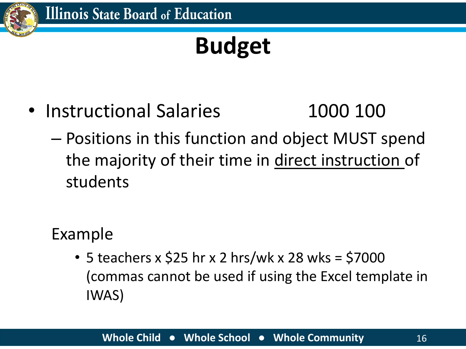

- Instructional Salaries 1000 100
	- Positions in this function and object MUST spend the majority of their time in direct instruction of students

Example

• 5 teachers x \$25 hr x 2 hrs/wk x 28 wks = \$7000 (commas cannot be used if using the Excel template in IWAS)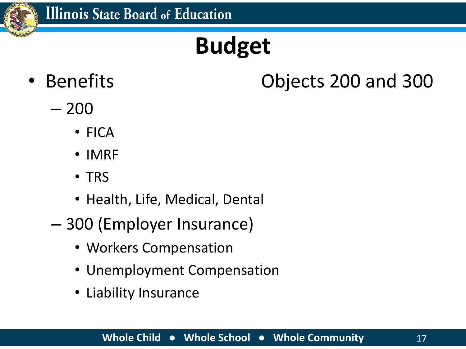

#### • Benefits Objects 200 and 300

- 200
	- FICA
	- IMRF
	- TRS
	- Health, Life, Medical, Dental
- 300 (Employer Insurance)
	- Workers Compensation
	- Unemployment Compensation
	- Liability Insurance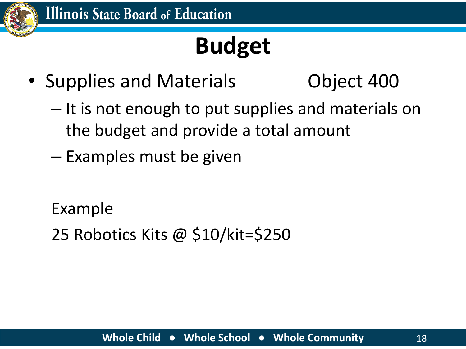

• Supplies and Materials **Canadia** Object 400

- It is not enough to put supplies and materials on the budget and provide a total amount
- Examples must be given

Example

25 Robotics Kits @ \$10/kit=\$250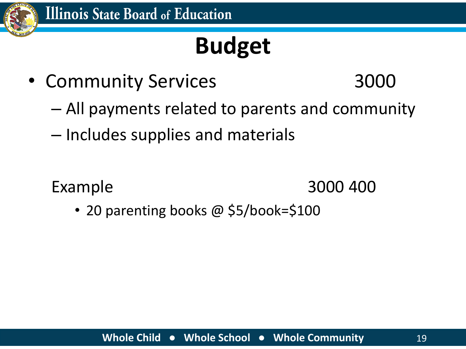

- Community Services 3000
- - All payments related to parents and community
	- Includes supplies and materials

Example 3000 400

• 20 parenting books @ \$5/book=\$100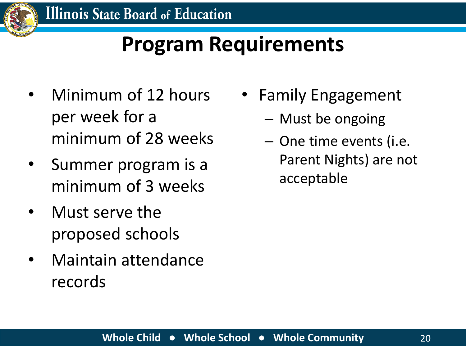

#### **Program Requirements**

- Minimum of 12 hours per week for a minimum of 28 weeks
- Summer program is a minimum of 3 weeks
- Must serve the proposed schools
- Maintain attendance records
- Family Engagement
	- Must be ongoing
	- One time events (i.e. Parent Nights) are not acceptable

#### **Whole Child ● Whole School ● Whole Community** 20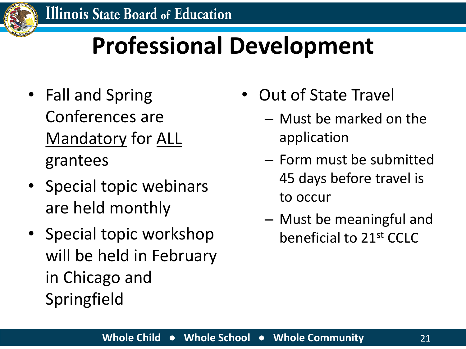

## **Professional Development**

- Fall and Spring Conferences are Mandatory for ALL grantees
- Special topic webinars are held monthly
- Special topic workshop will be held in February in Chicago and Springfield
- Out of State Travel
	- Must be marked on the application
	- Form must be submitted 45 days before travel is to occur
	- Must be meaningful and beneficial to 21st CCLC